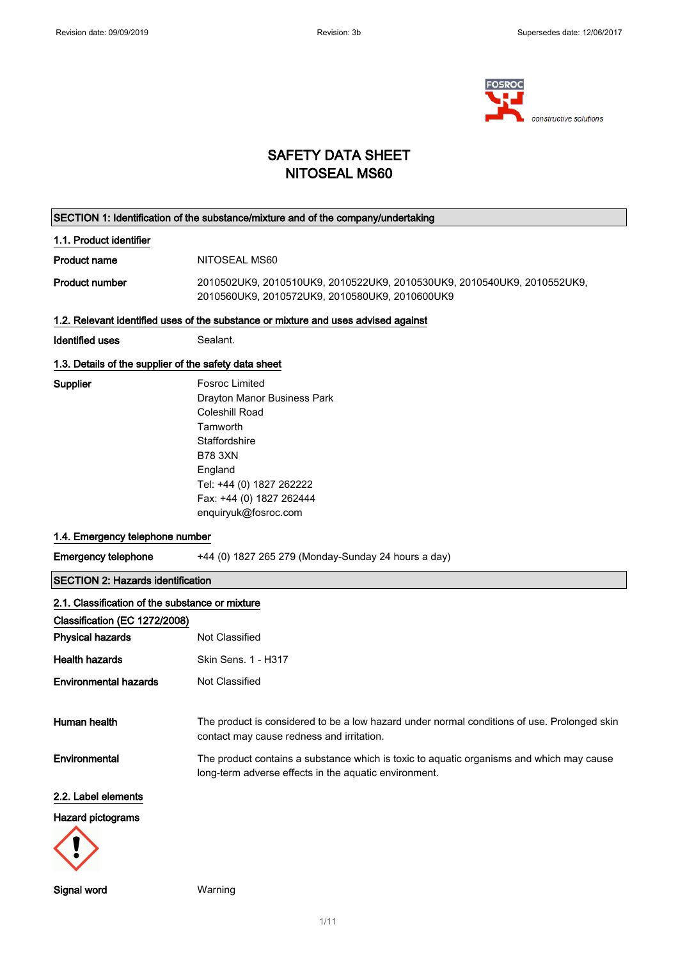

## SAFETY DATA SHEET NITOSEAL MS60

# SECTION 1: Identification of the substance/mixture and of the company/undertaking 1.1. Product identifier Product name NITOSEAL MS60 Product number 2010502UK9, 2010510UK9, 2010522UK9, 2010530UK9, 2010540UK9, 2010552UK9, 2010560UK9, 2010572UK9, 2010580UK9, 2010600UK9 1.2. Relevant identified uses of the substance or mixture and uses advised against Identified uses Sealant. 1.3. Details of the supplier of the safety data sheet Supplier Fosroc Limited Drayton Manor Business Park Coleshill Road Tamworth **Staffordshire** B78 3XN England Tel: +44 (0) 1827 262222 Fax: +44 (0) 1827 262444 enquiryuk@fosroc.com 1.4. Emergency telephone number Emergency telephone  $+44 (0) 1827 265 279 (Monday-Sunday 24 hours a day)$ SECTION 2: Hazards identification 2.1. Classification of the substance or mixture Classification (EC 1272/2008) **Physical hazards** Not Classified Health hazards Skin Sens. 1 - H317 Environmental hazards Not Classified Human health The product is considered to be a low hazard under normal conditions of use. Prolonged skin contact may cause redness and irritation. Environmental The product contains a substance which is toxic to aquatic organisms and which may cause long-term adverse effects in the aquatic environment. 2.2. Label elements Hazard pictograms

Signal word Warning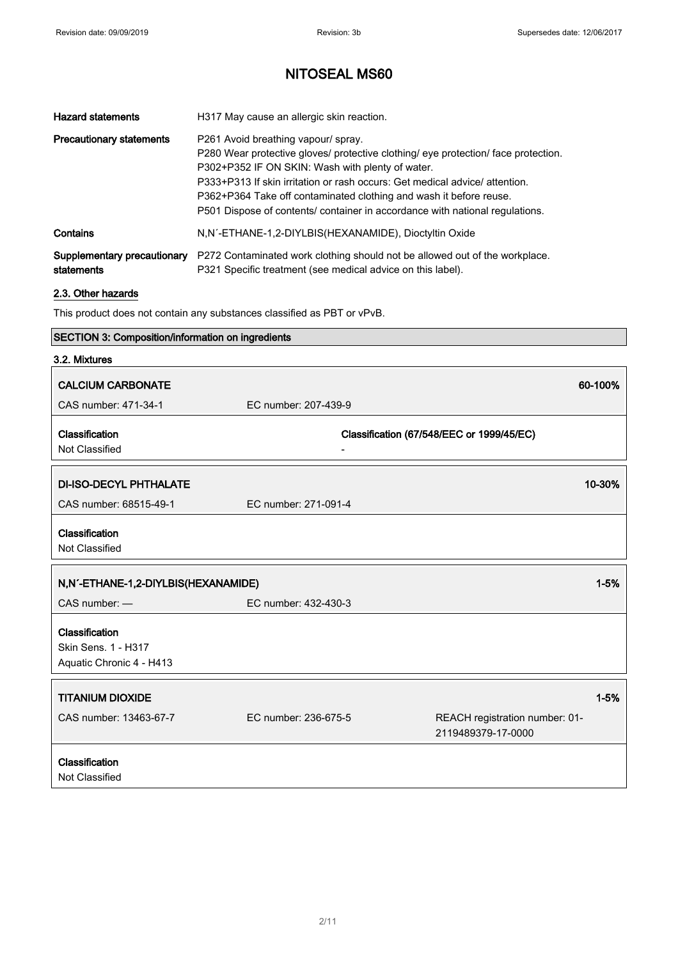| <b>Hazard statements</b>                  | H317 May cause an allergic skin reaction.                                                                                                                                                                                                                                                                                                                                                                          |
|-------------------------------------------|--------------------------------------------------------------------------------------------------------------------------------------------------------------------------------------------------------------------------------------------------------------------------------------------------------------------------------------------------------------------------------------------------------------------|
| <b>Precautionary statements</b>           | P261 Avoid breathing vapour/ spray.<br>P280 Wear protective gloves/ protective clothing/ eye protection/ face protection.<br>P302+P352 IF ON SKIN: Wash with plenty of water.<br>P333+P313 If skin irritation or rash occurs: Get medical advice/ attention.<br>P362+P364 Take off contaminated clothing and wash it before reuse.<br>P501 Dispose of contents/ container in accordance with national regulations. |
| Contains                                  | N,N'-ETHANE-1,2-DIYLBIS(HEXANAMIDE), Dioctyltin Oxide                                                                                                                                                                                                                                                                                                                                                              |
| Supplementary precautionary<br>statements | P272 Contaminated work clothing should not be allowed out of the workplace.<br>P321 Specific treatment (see medical advice on this label).                                                                                                                                                                                                                                                                         |

### 2.3. Other hazards

This product does not contain any substances classified as PBT or vPvB.

### SECTION 3: Composition/information on ingredients

| 3.2. Mixtures                                                     |                      |                                                      |
|-------------------------------------------------------------------|----------------------|------------------------------------------------------|
| <b>CALCIUM CARBONATE</b>                                          |                      | 60-100%                                              |
| CAS number: 471-34-1                                              | EC number: 207-439-9 |                                                      |
| Classification<br>Not Classified                                  |                      | Classification (67/548/EEC or 1999/45/EC)            |
| <b>DI-ISO-DECYL PHTHALATE</b>                                     |                      | 10-30%                                               |
| CAS number: 68515-49-1                                            | EC number: 271-091-4 |                                                      |
| Classification<br>Not Classified                                  |                      |                                                      |
| N,N'-ETHANE-1,2-DIYLBIS(HEXANAMIDE)                               |                      | $1 - 5%$                                             |
| $CAS$ number: $-$                                                 | EC number: 432-430-3 |                                                      |
| Classification<br>Skin Sens. 1 - H317<br>Aquatic Chronic 4 - H413 |                      |                                                      |
| <b>TITANIUM DIOXIDE</b>                                           |                      | $1 - 5%$                                             |
| CAS number: 13463-67-7                                            | EC number: 236-675-5 | REACH registration number: 01-<br>2119489379-17-0000 |
| Classification<br>Not Classified                                  |                      |                                                      |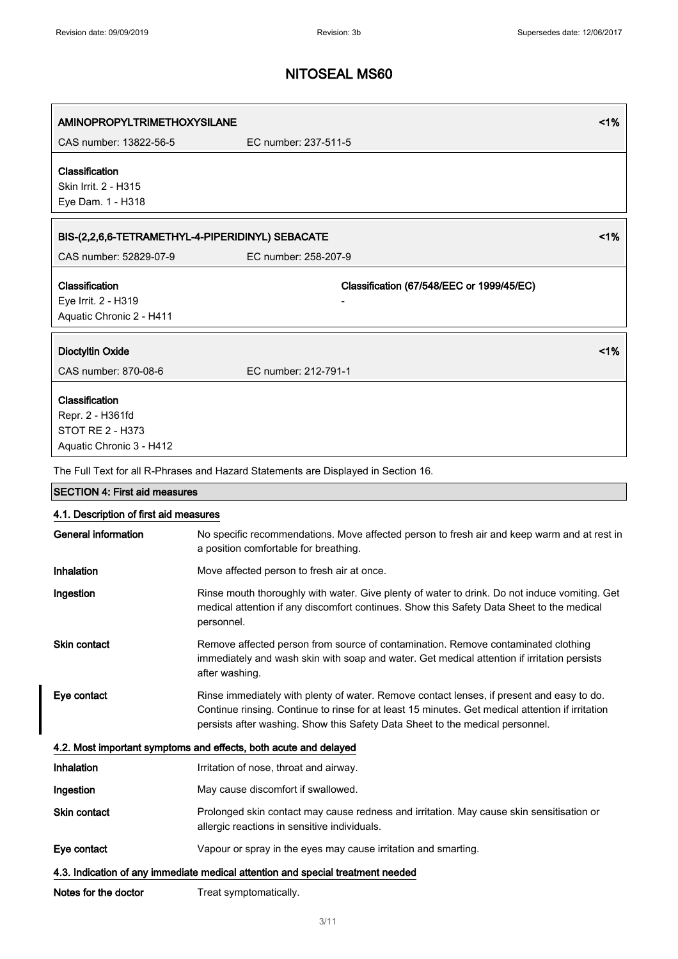| <b>AMINOPROPYLTRIMETHOXYSILANE</b><br>CAS number: 13822-56-5 | 1%<br>EC number: 237-511-5                                                                                                                                                                                                                                                     |  |
|--------------------------------------------------------------|--------------------------------------------------------------------------------------------------------------------------------------------------------------------------------------------------------------------------------------------------------------------------------|--|
| Classification                                               |                                                                                                                                                                                                                                                                                |  |
| Skin Irrit. 2 - H315                                         |                                                                                                                                                                                                                                                                                |  |
| Eye Dam. 1 - H318                                            |                                                                                                                                                                                                                                                                                |  |
|                                                              | 1%<br>BIS-(2,2,6,6-TETRAMETHYL-4-PIPERIDINYL) SEBACATE                                                                                                                                                                                                                         |  |
| CAS number: 52829-07-9                                       | EC number: 258-207-9                                                                                                                                                                                                                                                           |  |
| Classification<br>Eye Irrit. 2 - H319                        | Classification (67/548/EEC or 1999/45/EC)                                                                                                                                                                                                                                      |  |
| Aquatic Chronic 2 - H411                                     |                                                                                                                                                                                                                                                                                |  |
| <b>Dioctyltin Oxide</b>                                      | 1%                                                                                                                                                                                                                                                                             |  |
| CAS number: 870-08-6                                         | EC number: 212-791-1                                                                                                                                                                                                                                                           |  |
| Classification                                               |                                                                                                                                                                                                                                                                                |  |
| Repr. 2 - H361fd                                             |                                                                                                                                                                                                                                                                                |  |
| <b>STOT RE 2 - H373</b>                                      |                                                                                                                                                                                                                                                                                |  |
| Aquatic Chronic 3 - H412                                     |                                                                                                                                                                                                                                                                                |  |
|                                                              | The Full Text for all R-Phrases and Hazard Statements are Displayed in Section 16.                                                                                                                                                                                             |  |
| <b>SECTION 4: First aid measures</b>                         |                                                                                                                                                                                                                                                                                |  |
| 4.1. Description of first aid measures                       |                                                                                                                                                                                                                                                                                |  |
| <b>General information</b>                                   | No specific recommendations. Move affected person to fresh air and keep warm and at rest in<br>a position comfortable for breathing.                                                                                                                                           |  |
| Inhalation                                                   | Move affected person to fresh air at once.                                                                                                                                                                                                                                     |  |
| Ingestion                                                    | Rinse mouth thoroughly with water. Give plenty of water to drink. Do not induce vomiting. Get<br>medical attention if any discomfort continues. Show this Safety Data Sheet to the medical<br>personnel.                                                                       |  |
| <b>Skin contact</b>                                          | Remove affected person from source of contamination. Remove contaminated clothing<br>immediately and wash skin with soap and water. Get medical attention if irritation persists<br>after washing.                                                                             |  |
| Eye contact                                                  | Rinse immediately with plenty of water. Remove contact lenses, if present and easy to do.<br>Continue rinsing. Continue to rinse for at least 15 minutes. Get medical attention if irritation<br>persists after washing. Show this Safety Data Sheet to the medical personnel. |  |
|                                                              | 4.2. Most important symptoms and effects, both acute and delayed                                                                                                                                                                                                               |  |
| Inhalation                                                   | Irritation of nose, throat and airway.                                                                                                                                                                                                                                         |  |
| Ingestion                                                    | May cause discomfort if swallowed.                                                                                                                                                                                                                                             |  |
| Skin contact                                                 | Prolonged skin contact may cause redness and irritation. May cause skin sensitisation or<br>allergic reactions in sensitive individuals.                                                                                                                                       |  |
| Eye contact                                                  | Vapour or spray in the eyes may cause irritation and smarting.                                                                                                                                                                                                                 |  |
|                                                              | 4.3. Indication of any immediate medical attention and special treatment needed                                                                                                                                                                                                |  |
| Notes for the doctor                                         | Treat symptomatically.                                                                                                                                                                                                                                                         |  |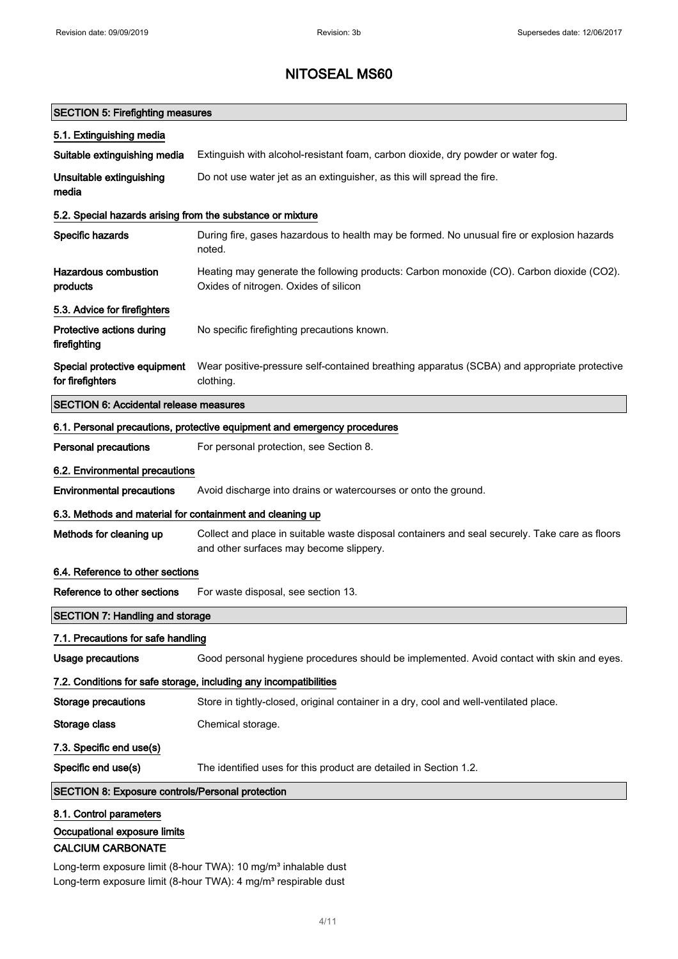### SECTION 5: Firefighting measures

| 5.1. Extinguishing media                                          |                                                                                                                                           |  |  |
|-------------------------------------------------------------------|-------------------------------------------------------------------------------------------------------------------------------------------|--|--|
| Suitable extinguishing media                                      | Extinguish with alcohol-resistant foam, carbon dioxide, dry powder or water fog.                                                          |  |  |
| Unsuitable extinguishing<br>media                                 | Do not use water jet as an extinguisher, as this will spread the fire.                                                                    |  |  |
| 5.2. Special hazards arising from the substance or mixture        |                                                                                                                                           |  |  |
| Specific hazards                                                  | During fire, gases hazardous to health may be formed. No unusual fire or explosion hazards<br>noted.                                      |  |  |
| <b>Hazardous combustion</b><br>products                           | Heating may generate the following products: Carbon monoxide (CO). Carbon dioxide (CO2).<br>Oxides of nitrogen. Oxides of silicon         |  |  |
| 5.3. Advice for firefighters                                      |                                                                                                                                           |  |  |
| Protective actions during<br>firefighting                         | No specific firefighting precautions known.                                                                                               |  |  |
| Special protective equipment<br>for firefighters                  | Wear positive-pressure self-contained breathing apparatus (SCBA) and appropriate protective<br>clothing.                                  |  |  |
| <b>SECTION 6: Accidental release measures</b>                     |                                                                                                                                           |  |  |
|                                                                   | 6.1. Personal precautions, protective equipment and emergency procedures                                                                  |  |  |
| <b>Personal precautions</b>                                       | For personal protection, see Section 8.                                                                                                   |  |  |
| 6.2. Environmental precautions                                    |                                                                                                                                           |  |  |
| <b>Environmental precautions</b>                                  | Avoid discharge into drains or watercourses or onto the ground.                                                                           |  |  |
|                                                                   | 6.3. Methods and material for containment and cleaning up                                                                                 |  |  |
| Methods for cleaning up                                           | Collect and place in suitable waste disposal containers and seal securely. Take care as floors<br>and other surfaces may become slippery. |  |  |
| 6.4. Reference to other sections                                  |                                                                                                                                           |  |  |
| Reference to other sections                                       | For waste disposal, see section 13.                                                                                                       |  |  |
| <b>SECTION 7: Handling and storage</b>                            |                                                                                                                                           |  |  |
| 7.1. Precautions for safe handling                                |                                                                                                                                           |  |  |
| <b>Usage precautions</b>                                          | Good personal hygiene procedures should be implemented. Avoid contact with skin and eyes.                                                 |  |  |
| 7.2. Conditions for safe storage, including any incompatibilities |                                                                                                                                           |  |  |
| <b>Storage precautions</b>                                        | Store in tightly-closed, original container in a dry, cool and well-ventilated place.                                                     |  |  |
| Storage class                                                     | Chemical storage.                                                                                                                         |  |  |
| 7.3. Specific end use(s)                                          |                                                                                                                                           |  |  |
| Specific end use(s)                                               | The identified uses for this product are detailed in Section 1.2.                                                                         |  |  |
| <b>SECTION 8: Exposure controls/Personal protection</b>           |                                                                                                                                           |  |  |
| 8.1. Control parameters<br>Occupational exposure limits           |                                                                                                                                           |  |  |
| <b>CALCIUM CARBONATE</b>                                          |                                                                                                                                           |  |  |

Long-term exposure limit (8-hour TWA): 10 mg/m<sup>3</sup> inhalable dust Long-term exposure limit (8-hour TWA): 4 mg/m<sup>3</sup> respirable dust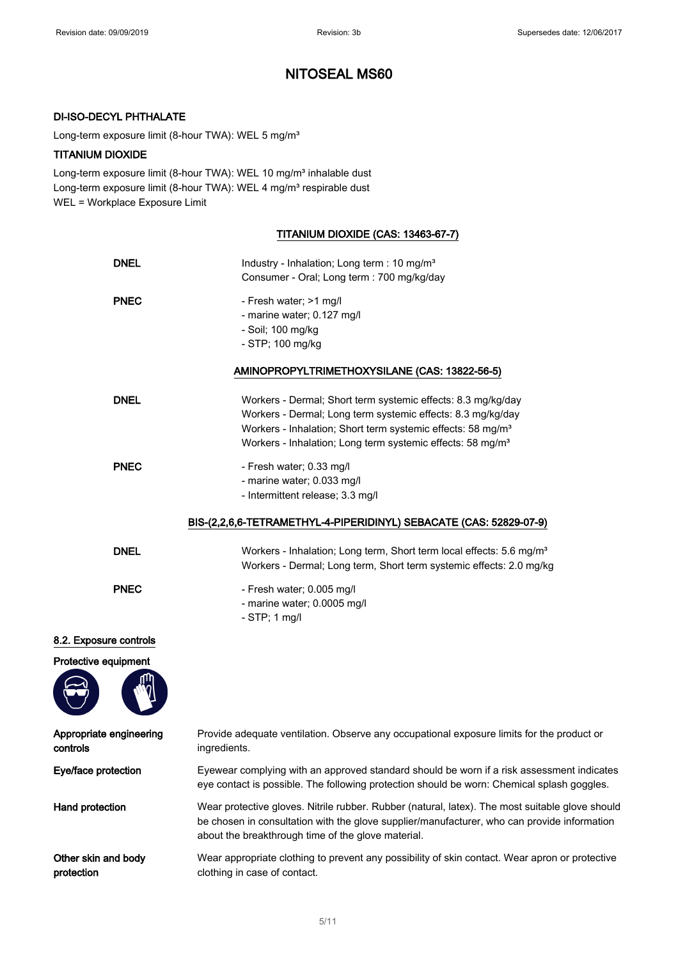#### DI-ISO-DECYL PHTHALATE

Long-term exposure limit (8-hour TWA): WEL 5 mg/m<sup>3</sup>

#### TITANIUM DIOXIDE

Long-term exposure limit (8-hour TWA): WEL 10 mg/m<sup>3</sup> inhalable dust Long-term exposure limit (8-hour TWA): WEL 4 mg/m<sup>3</sup> respirable dust WEL = Workplace Exposure Limit

### TITANIUM DIOXIDE (CAS: 13463-67-7)

| <b>DNEL</b>                         | Industry - Inhalation; Long term : 10 mg/m <sup>3</sup><br>Consumer - Oral; Long term : 700 mg/kg/day                                                                                                                                                                            |
|-------------------------------------|----------------------------------------------------------------------------------------------------------------------------------------------------------------------------------------------------------------------------------------------------------------------------------|
| <b>PNEC</b>                         | - Fresh water; >1 mg/l<br>- marine water; 0.127 mg/l<br>- Soil; 100 mg/kg<br>- STP; 100 mg/kg                                                                                                                                                                                    |
|                                     | AMINOPROPYLTRIMETHOXYSILANE (CAS: 13822-56-5)                                                                                                                                                                                                                                    |
| <b>DNEL</b>                         | Workers - Dermal; Short term systemic effects: 8.3 mg/kg/day<br>Workers - Dermal; Long term systemic effects: 8.3 mg/kg/day<br>Workers - Inhalation; Short term systemic effects: 58 mg/m <sup>3</sup><br>Workers - Inhalation; Long term systemic effects: 58 mg/m <sup>3</sup> |
| <b>PNEC</b>                         | - Fresh water; 0.33 mg/l<br>- marine water; 0.033 mg/l<br>- Intermittent release; 3.3 mg/l                                                                                                                                                                                       |
|                                     | BIS-(2,2,6,6-TETRAMETHYL-4-PIPERIDINYL) SEBACATE (CAS: 52829-07-9)                                                                                                                                                                                                               |
| <b>DNEL</b>                         | Workers - Inhalation; Long term, Short term local effects: 5.6 mg/m <sup>3</sup><br>Workers - Dermal; Long term, Short term systemic effects: 2.0 mg/kg                                                                                                                          |
| <b>PNEC</b>                         | - Fresh water; 0.005 mg/l<br>- marine water; 0.0005 mg/l<br>$-$ STP; 1 mg/l                                                                                                                                                                                                      |
| 8.2. Exposure controls              |                                                                                                                                                                                                                                                                                  |
| Protective equipment                |                                                                                                                                                                                                                                                                                  |
| Appropriate engineering<br>controls | Provide adequate ventilation. Observe any occupational exposure limits for the product or<br>ingredients.                                                                                                                                                                        |
| Eye/face protection                 | Eyewear complying with an approved standard should be worn if a risk assessment indicates<br>eye contact is possible. The following protection should be worn: Chemical splash goggles.                                                                                          |
| Hand protection                     | Wear protective gloves. Nitrile rubber. Rubber (natural, latex). The most suitable glove should<br>be chosen in consultation with the glove supplier/manufacturer, who can provide information<br>about the breakthrough time of the glove material.                             |
| Other skin and body<br>protection   | Wear appropriate clothing to prevent any possibility of skin contact. Wear apron or protective<br>clothing in case of contact.                                                                                                                                                   |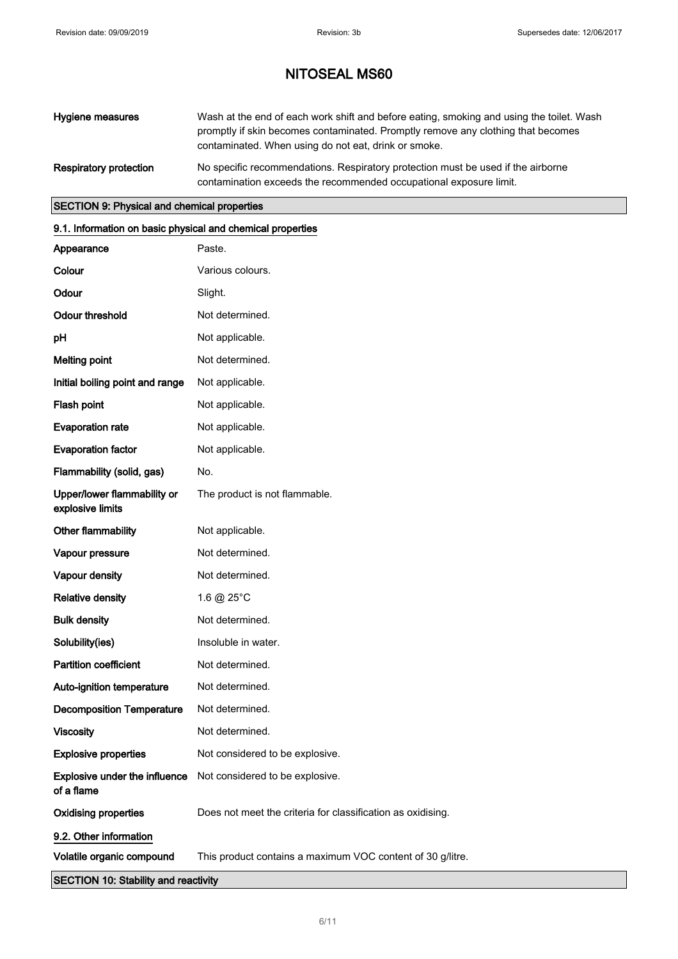| Hygiene measures       | Wash at the end of each work shift and before eating, smoking and using the toilet. Wash<br>promptly if skin becomes contaminated. Promptly remove any clothing that becomes<br>contaminated. When using do not eat, drink or smoke. |
|------------------------|--------------------------------------------------------------------------------------------------------------------------------------------------------------------------------------------------------------------------------------|
| Respiratory protection | No specific recommendations. Respiratory protection must be used if the airborne<br>contamination exceeds the recommended occupational exposure limit.                                                                               |

#### SECTION 9: Physical and chemical properties

### 9.1. Information on basic physical and chemical properties

| <b>SECTION 10: Stability and reactivity</b>     |                                                                      |  |
|-------------------------------------------------|----------------------------------------------------------------------|--|
| Volatile organic compound                       | This product contains a maximum VOC content of 30 g/litre.           |  |
| 9.2. Other information                          |                                                                      |  |
| <b>Oxidising properties</b>                     | Does not meet the criteria for classification as oxidising.          |  |
| of a flame                                      | <b>Explosive under the influence</b> Not considered to be explosive. |  |
| <b>Explosive properties</b>                     | Not considered to be explosive.                                      |  |
| <b>Viscosity</b>                                | Not determined.                                                      |  |
| <b>Decomposition Temperature</b>                | Not determined.                                                      |  |
| Auto-ignition temperature                       | Not determined.                                                      |  |
| <b>Partition coefficient</b>                    | Not determined.                                                      |  |
| Solubility(ies)                                 | Insoluble in water.                                                  |  |
| <b>Bulk density</b>                             | Not determined.                                                      |  |
| <b>Relative density</b>                         | 1.6 @ 25°C                                                           |  |
| Vapour density                                  | Not determined.                                                      |  |
| Vapour pressure                                 | Not determined.                                                      |  |
| Other flammability                              | Not applicable.                                                      |  |
| Upper/lower flammability or<br>explosive limits | The product is not flammable.                                        |  |
| Flammability (solid, gas)                       | No.                                                                  |  |
| <b>Evaporation factor</b>                       | Not applicable.                                                      |  |
| <b>Evaporation rate</b>                         | Not applicable.                                                      |  |
| Flash point                                     | Not applicable.                                                      |  |
| Initial boiling point and range                 | Not applicable.                                                      |  |
| <b>Melting point</b>                            | Not determined.                                                      |  |
| pH                                              | Not applicable.                                                      |  |
| <b>Odour threshold</b>                          | Not determined.                                                      |  |
| Odour                                           | Slight.                                                              |  |
| Colour                                          | Various colours.                                                     |  |
| Appearance                                      | Paste.                                                               |  |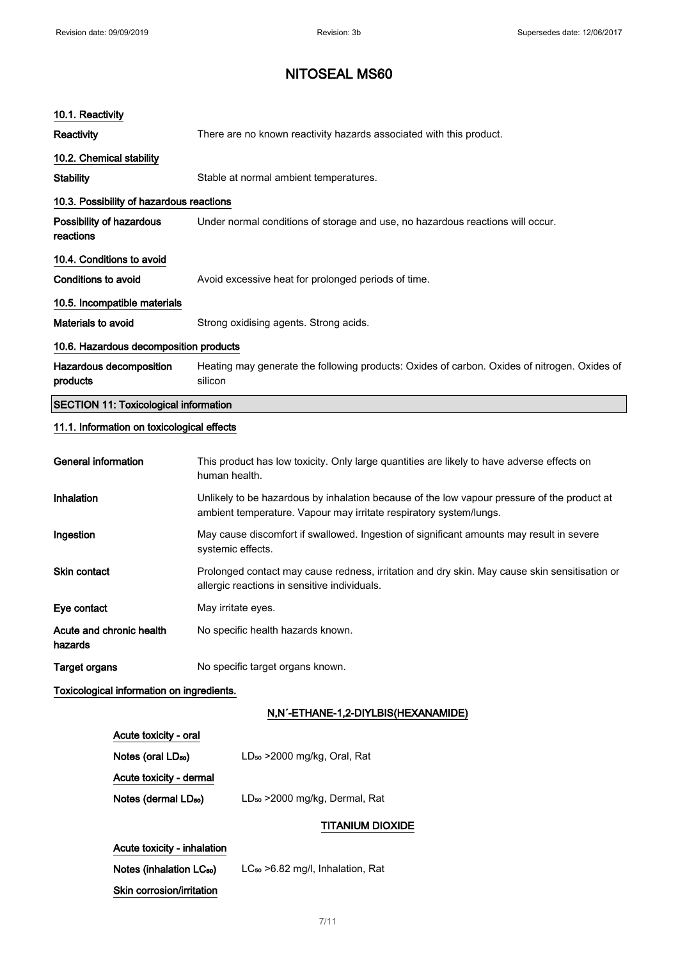Acute toxicity - inhalation

Skin corrosion/irritation

Notes (inhalation LC<sub>50</sub>) LC<sub>50</sub> > 6.82 mg/l, Inhalation, Rat

7/ 11

## NITOSEAL MS60

| 10.1. Reactivity                             |                                                                                                                                                                   |  |
|----------------------------------------------|-------------------------------------------------------------------------------------------------------------------------------------------------------------------|--|
| <b>Reactivity</b>                            | There are no known reactivity hazards associated with this product.                                                                                               |  |
| 10.2. Chemical stability                     |                                                                                                                                                                   |  |
| <b>Stability</b>                             | Stable at normal ambient temperatures.                                                                                                                            |  |
| 10.3. Possibility of hazardous reactions     |                                                                                                                                                                   |  |
| Possibility of hazardous<br>reactions        | Under normal conditions of storage and use, no hazardous reactions will occur.                                                                                    |  |
| 10.4. Conditions to avoid                    |                                                                                                                                                                   |  |
| Conditions to avoid                          | Avoid excessive heat for prolonged periods of time.                                                                                                               |  |
| 10.5. Incompatible materials                 |                                                                                                                                                                   |  |
| Materials to avoid                           | Strong oxidising agents. Strong acids.                                                                                                                            |  |
| 10.6. Hazardous decomposition products       |                                                                                                                                                                   |  |
| Hazardous decomposition<br>products          | Heating may generate the following products: Oxides of carbon. Oxides of nitrogen. Oxides of<br>silicon                                                           |  |
| <b>SECTION 11: Toxicological information</b> |                                                                                                                                                                   |  |
| 11.1. Information on toxicological effects   |                                                                                                                                                                   |  |
| <b>General information</b>                   | This product has low toxicity. Only large quantities are likely to have adverse effects on<br>human health.                                                       |  |
| Inhalation                                   | Unlikely to be hazardous by inhalation because of the low vapour pressure of the product at<br>ambient temperature. Vapour may irritate respiratory system/lungs. |  |
| Ingestion                                    | May cause discomfort if swallowed. Ingestion of significant amounts may result in severe<br>systemic effects.                                                     |  |
| Skin contact                                 | Prolonged contact may cause redness, irritation and dry skin. May cause skin sensitisation or<br>allergic reactions in sensitive individuals.                     |  |
| Eye contact                                  | May irritate eyes.                                                                                                                                                |  |
| Acute and chronic health<br>hazards          | No specific health hazards known.                                                                                                                                 |  |
| <b>Target organs</b>                         | No specific target organs known.                                                                                                                                  |  |
| Toxicological information on ingredients.    |                                                                                                                                                                   |  |
|                                              | N,N'-ETHANE-1,2-DIYLBIS(HEXANAMIDE)                                                                                                                               |  |
| Acute toxicity - oral                        |                                                                                                                                                                   |  |
| Notes (oral LD <sub>50</sub> )               | LD <sub>50</sub> > 2000 mg/kg, Oral, Rat                                                                                                                          |  |
| Acute toxicity - dermal                      |                                                                                                                                                                   |  |
| Notes (dermal LD <sub>50</sub> )             | LD <sub>50</sub> > 2000 mg/kg, Dermal, Rat                                                                                                                        |  |
|                                              | <b>TITANIUM DIOXIDE</b>                                                                                                                                           |  |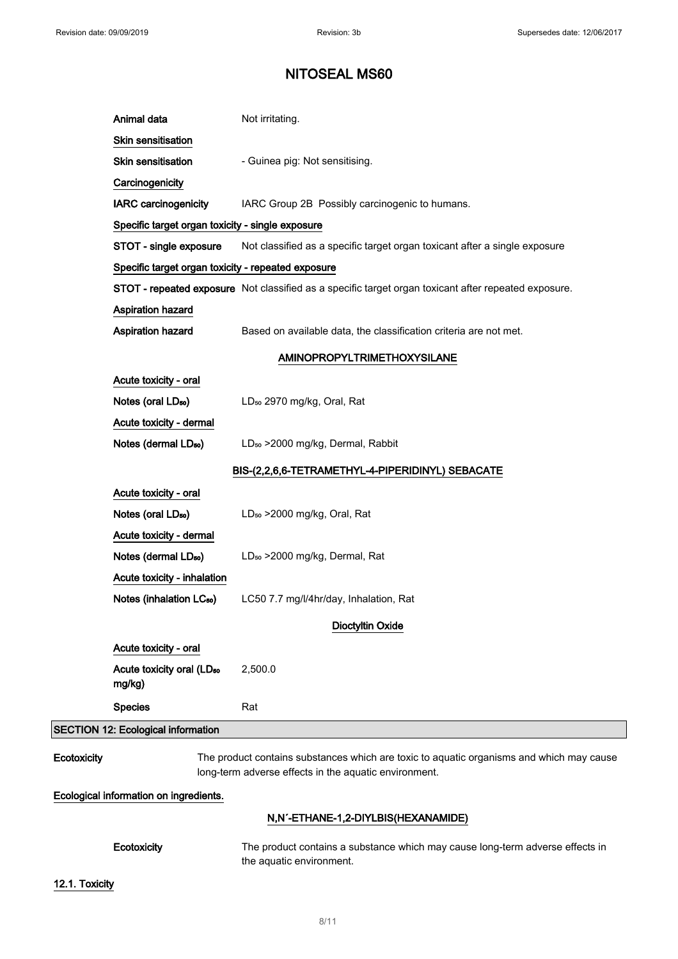|             | Animal data                                        | Not irritating.                                                                                                                                   |
|-------------|----------------------------------------------------|---------------------------------------------------------------------------------------------------------------------------------------------------|
|             | Skin sensitisation                                 |                                                                                                                                                   |
|             | <b>Skin sensitisation</b>                          | - Guinea pig: Not sensitising.                                                                                                                    |
|             | Carcinogenicity                                    |                                                                                                                                                   |
|             | <b>IARC carcinogenicity</b>                        | IARC Group 2B Possibly carcinogenic to humans.                                                                                                    |
|             | Specific target organ toxicity - single exposure   |                                                                                                                                                   |
|             | STOT - single exposure                             | Not classified as a specific target organ toxicant after a single exposure                                                                        |
|             | Specific target organ toxicity - repeated exposure |                                                                                                                                                   |
|             |                                                    | STOT - repeated exposure Not classified as a specific target organ toxicant after repeated exposure.                                              |
|             | Aspiration hazard                                  |                                                                                                                                                   |
|             | Aspiration hazard                                  | Based on available data, the classification criteria are not met.                                                                                 |
|             |                                                    | <b>AMINOPROPYLTRIMETHOXYSILANE</b>                                                                                                                |
|             | Acute toxicity - oral                              |                                                                                                                                                   |
|             | Notes (oral LD <sub>50</sub> )                     | LD <sub>50</sub> 2970 mg/kg, Oral, Rat                                                                                                            |
|             | Acute toxicity - dermal                            |                                                                                                                                                   |
|             | Notes (dermal LD <sub>50</sub> )                   | LD <sub>50</sub> > 2000 mg/kg, Dermal, Rabbit                                                                                                     |
|             |                                                    | BIS-(2,2,6,6-TETRAMETHYL-4-PIPERIDINYL) SEBACATE                                                                                                  |
|             | Acute toxicity - oral                              |                                                                                                                                                   |
|             | Notes (oral LD <sub>50</sub> )                     | LD <sub>50</sub> > 2000 mg/kg, Oral, Rat                                                                                                          |
|             | Acute toxicity - dermal                            |                                                                                                                                                   |
|             | Notes (dermal LD <sub>50</sub> )                   | LD <sub>50</sub> > 2000 mg/kg, Dermal, Rat                                                                                                        |
|             | Acute toxicity - inhalation                        |                                                                                                                                                   |
|             | Notes (inhalation LC <sub>50</sub> )               | LC50 7.7 mg/l/4hr/day, Inhalation, Rat                                                                                                            |
|             |                                                    | <b>Dioctyltin Oxide</b>                                                                                                                           |
|             | Acute toxicity - oral                              |                                                                                                                                                   |
|             | Acute toxicity oral (LD <sub>50</sub><br>mg/kg)    | 2,500.0                                                                                                                                           |
|             | <b>Species</b>                                     | Rat                                                                                                                                               |
|             | SECTION 12: Ecological information                 |                                                                                                                                                   |
| Ecotoxicity |                                                    | The product contains substances which are toxic to aquatic organisms and which may cause<br>long-term adverse effects in the aquatic environment. |
|             | Ecological information on ingredients.             |                                                                                                                                                   |

### N,N´-ETHANE-1,2-DIYLBIS(HEXANAMIDE)

Ecotoxicity The product contains a substance which may cause long-term adverse effects in the aquatic environment.

12.1. Toxicity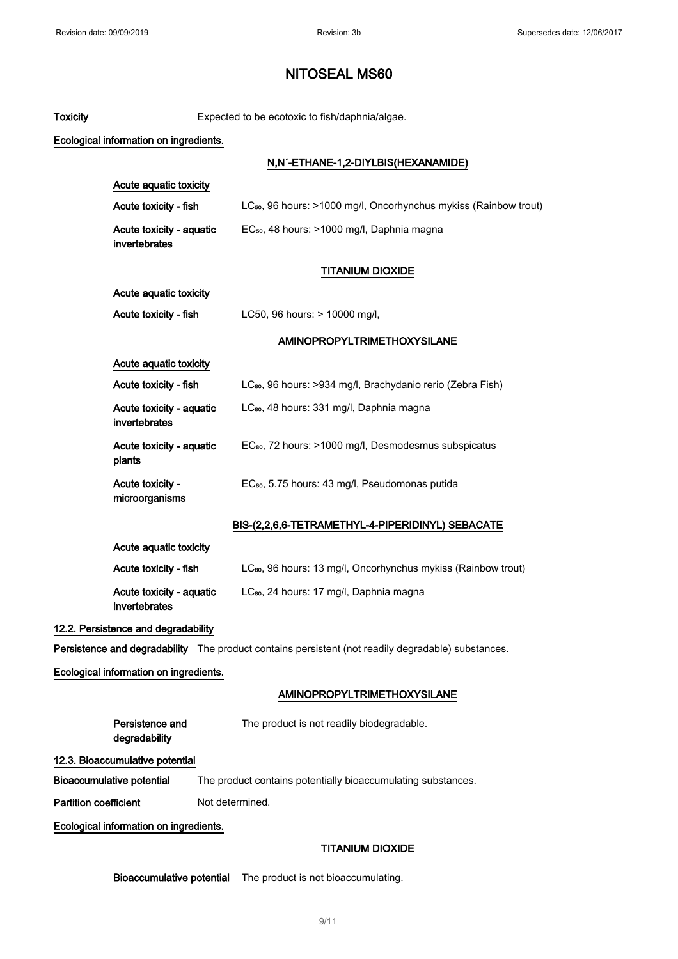| <b>Toxicity</b>              |                                           | Expected to be ecotoxic to fish/daphnia/algae.                                                     |
|------------------------------|-------------------------------------------|----------------------------------------------------------------------------------------------------|
|                              | Ecological information on ingredients.    |                                                                                                    |
|                              |                                           | N,N'-ETHANE-1,2-DIYLBIS(HEXANAMIDE)                                                                |
|                              | Acute aquatic toxicity                    |                                                                                                    |
|                              | Acute toxicity - fish                     | LC <sub>50</sub> , 96 hours: >1000 mg/l, Oncorhynchus mykiss (Rainbow trout)                       |
|                              | Acute toxicity - aquatic<br>invertebrates | EC <sub>50</sub> , 48 hours: >1000 mg/l, Daphnia magna                                             |
|                              |                                           | <b>TITANIUM DIOXIDE</b>                                                                            |
|                              | Acute aquatic toxicity                    |                                                                                                    |
|                              | Acute toxicity - fish                     | LC50, 96 hours: > 10000 mg/l,                                                                      |
|                              |                                           | <b>AMINOPROPYLTRIMETHOXYSILANE</b>                                                                 |
|                              | Acute aquatic toxicity                    |                                                                                                    |
|                              | Acute toxicity - fish                     | LC <sub>80</sub> , 96 hours: >934 mg/l, Brachydanio rerio (Zebra Fish)                             |
|                              | Acute toxicity - aquatic<br>invertebrates | LC <sub>80</sub> , 48 hours: 331 mg/l, Daphnia magna                                               |
|                              | Acute toxicity - aquatic<br>plants        | EC <sub>80</sub> , 72 hours: >1000 mg/l, Desmodesmus subspicatus                                   |
|                              | Acute toxicity -<br>microorganisms        | EC <sub>80</sub> , 5.75 hours: 43 mg/l, Pseudomonas putida                                         |
|                              |                                           | BIS-(2,2,6,6-TETRAMETHYL-4-PIPERIDINYL) SEBACATE                                                   |
|                              | Acute aquatic toxicity                    |                                                                                                    |
|                              | Acute toxicity - fish                     | LC <sub>80</sub> , 96 hours: 13 mg/l, Oncorhynchus mykiss (Rainbow trout)                          |
|                              | Acute toxicity - aquatic<br>invertebrates | LC <sub>80</sub> , 24 hours: 17 mg/l, Daphnia magna                                                |
|                              | 12.2. Persistence and degradability       |                                                                                                    |
|                              |                                           | Persistence and degradability The product contains persistent (not readily degradable) substances. |
|                              | Ecological information on ingredients.    |                                                                                                    |
|                              |                                           | <b>AMINOPROPYLTRIMETHOXYSILANE</b>                                                                 |
|                              | Persistence and<br>degradability          | The product is not readily biodegradable.                                                          |
|                              | 12.3. Bioaccumulative potential           |                                                                                                    |
|                              | <b>Bioaccumulative potential</b>          | The product contains potentially bioaccumulating substances.                                       |
| <b>Partition coefficient</b> |                                           | Not determined.                                                                                    |
|                              | Ecological information on ingredients.    |                                                                                                    |
|                              |                                           | <b>TITANIUM DIOXIDE</b>                                                                            |
|                              |                                           |                                                                                                    |

Bioaccumulative potential The product is not bioaccumulating.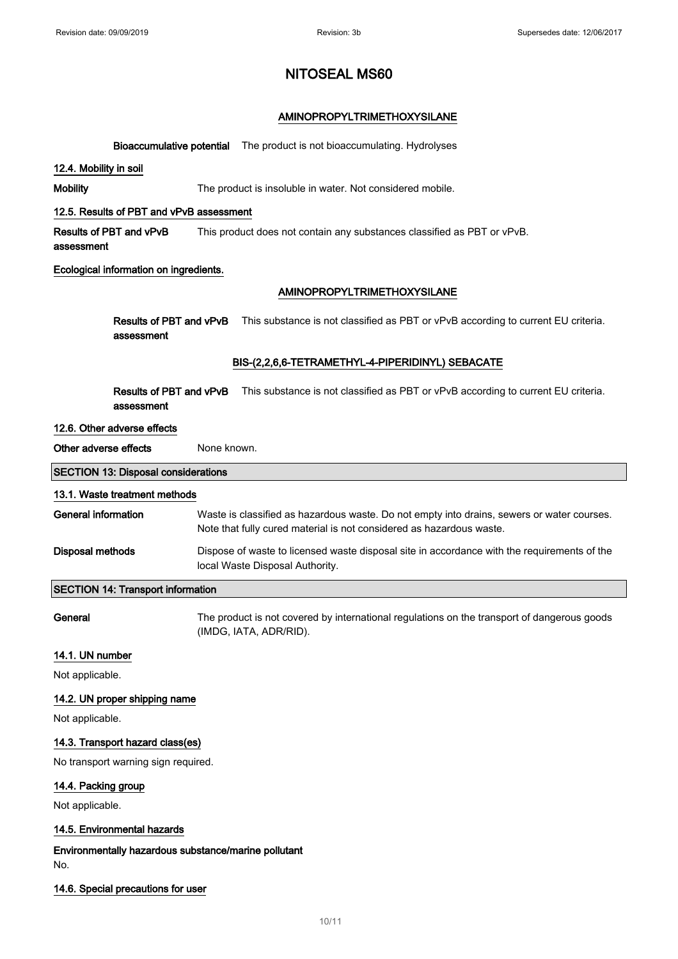### AMINOPROPYLTRIMETHOXYSILANE

|                                                             | <b>Bioaccumulative potential</b> The product is not bioaccumulating. Hydrolyses                                                                                    |
|-------------------------------------------------------------|--------------------------------------------------------------------------------------------------------------------------------------------------------------------|
| 12.4. Mobility in soil                                      |                                                                                                                                                                    |
| <b>Mobility</b>                                             | The product is insoluble in water. Not considered mobile.                                                                                                          |
| 12.5. Results of PBT and vPvB assessment                    |                                                                                                                                                                    |
| Results of PBT and vPvB<br>assessment                       | This product does not contain any substances classified as PBT or vPvB.                                                                                            |
| Ecological information on ingredients.                      |                                                                                                                                                                    |
|                                                             | <b>AMINOPROPYLTRIMETHOXYSILANE</b>                                                                                                                                 |
| Results of PBT and vPvB<br>assessment                       | This substance is not classified as PBT or vPvB according to current EU criteria.                                                                                  |
|                                                             | BIS-(2,2,6,6-TETRAMETHYL-4-PIPERIDINYL) SEBACATE                                                                                                                   |
| Results of PBT and vPvB<br>assessment                       | This substance is not classified as PBT or vPvB according to current EU criteria.                                                                                  |
| 12.6. Other adverse effects                                 |                                                                                                                                                                    |
| Other adverse effects                                       | None known.                                                                                                                                                        |
| <b>SECTION 13: Disposal considerations</b>                  |                                                                                                                                                                    |
| 13.1. Waste treatment methods                               |                                                                                                                                                                    |
| <b>General information</b>                                  | Waste is classified as hazardous waste. Do not empty into drains, sewers or water courses.<br>Note that fully cured material is not considered as hazardous waste. |
| <b>Disposal methods</b>                                     | Dispose of waste to licensed waste disposal site in accordance with the requirements of the<br>local Waste Disposal Authority.                                     |
| <b>SECTION 14: Transport information</b>                    |                                                                                                                                                                    |
| General                                                     | The product is not covered by international regulations on the transport of dangerous goods<br>(IMDG, IATA, ADR/RID).                                              |
| 14.1. UN number                                             |                                                                                                                                                                    |
| Not applicable.                                             |                                                                                                                                                                    |
| 14.2. UN proper shipping name                               |                                                                                                                                                                    |
| Not applicable.                                             |                                                                                                                                                                    |
| 14.3. Transport hazard class(es)                            |                                                                                                                                                                    |
| No transport warning sign required.                         |                                                                                                                                                                    |
| 14.4. Packing group                                         |                                                                                                                                                                    |
| Not applicable.                                             |                                                                                                                                                                    |
| 14.5. Environmental hazards                                 |                                                                                                                                                                    |
| Environmentally hazardous substance/marine pollutant<br>No. |                                                                                                                                                                    |

#### 14.6. Special precautions for user